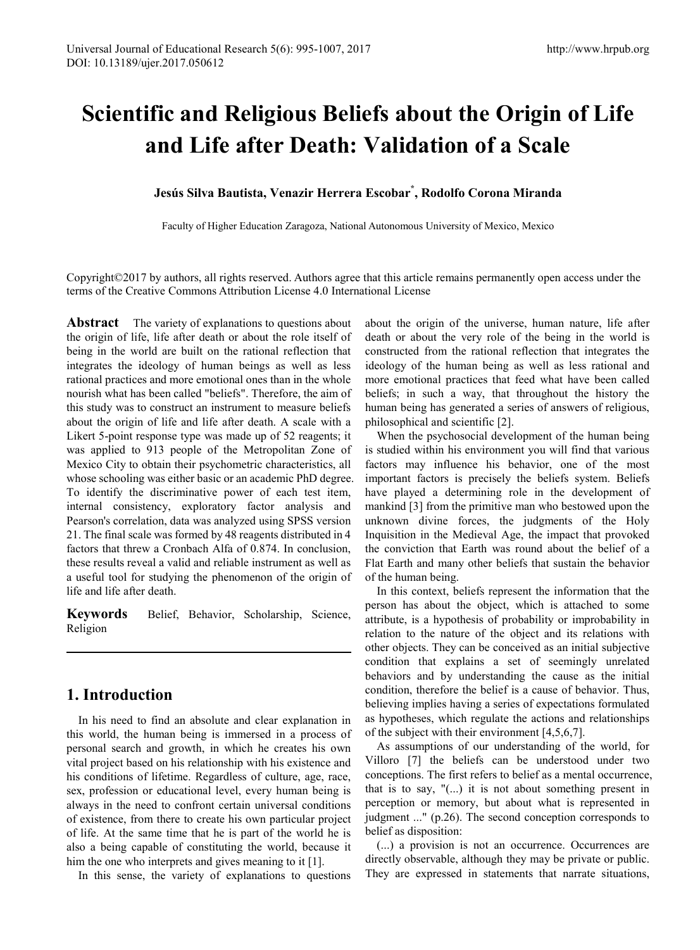# **Scientific and Religious Beliefs about the Origin of Life and Life after Death: Validation of a Scale**

## **Jesús Silva Bautista, Venazir Herrera Escobar\* , Rodolfo Corona Miranda**

Faculty of Higher Education Zaragoza, National Autonomous University of Mexico, Mexico

Copyright©2017 by authors, all rights reserved. Authors agree that this article remains permanently open access under the terms of the Creative Commons Attribution License 4.0 International License

**Abstract** The variety of explanations to questions about the origin of life, life after death or about the role itself of being in the world are built on the rational reflection that integrates the ideology of human beings as well as less rational practices and more emotional ones than in the whole nourish what has been called "beliefs". Therefore, the aim of this study was to construct an instrument to measure beliefs about the origin of life and life after death. A scale with a Likert 5-point response type was made up of 52 reagents; it was applied to 913 people of the Metropolitan Zone of Mexico City to obtain their psychometric characteristics, all whose schooling was either basic or an academic PhD degree. To identify the discriminative power of each test item, internal consistency, exploratory factor analysis and Pearson's correlation, data was analyzed using SPSS version 21. The final scale was formed by 48 reagents distributed in 4 factors that threw a Cronbach Alfa of 0.874. In conclusion, these results reveal a valid and reliable instrument as well as a useful tool for studying the phenomenon of the origin of life and life after death.

**Keywords** Belief, Behavior, Scholarship, Science, Religion

# **1. Introduction**

In his need to find an absolute and clear explanation in this world, the human being is immersed in a process of personal search and growth, in which he creates his own vital project based on his relationship with his existence and his conditions of lifetime. Regardless of culture, age, race, sex, profession or educational level, every human being is always in the need to confront certain universal conditions of existence, from there to create his own particular project of life. At the same time that he is part of the world he is also a being capable of constituting the world, because it him the one who interprets and gives meaning to it [1].

In this sense, the variety of explanations to questions

about the origin of the universe, human nature, life after death or about the very role of the being in the world is constructed from the rational reflection that integrates the ideology of the human being as well as less rational and more emotional practices that feed what have been called beliefs; in such a way, that throughout the history the human being has generated a series of answers of religious, philosophical and scientific [2].

When the psychosocial development of the human being is studied within his environment you will find that various factors may influence his behavior, one of the most important factors is precisely the beliefs system. Beliefs have played a determining role in the development of mankind [3] from the primitive man who bestowed upon the unknown divine forces, the judgments of the Holy Inquisition in the Medieval Age, the impact that provoked the conviction that Earth was round about the belief of a Flat Earth and many other beliefs that sustain the behavior of the human being.

In this context, beliefs represent the information that the person has about the object, which is attached to some attribute, is a hypothesis of probability or improbability in relation to the nature of the object and its relations with other objects. They can be conceived as an initial subjective condition that explains a set of seemingly unrelated behaviors and by understanding the cause as the initial condition, therefore the belief is a cause of behavior. Thus, believing implies having a series of expectations formulated as hypotheses, which regulate the actions and relationships of the subject with their environment [4,5,6,7].

As assumptions of our understanding of the world, for Villoro [7] the beliefs can be understood under two conceptions. The first refers to belief as a mental occurrence, that is to say, "(...) it is not about something present in perception or memory, but about what is represented in judgment ..." (p.26). The second conception corresponds to belief as disposition:

(...) a provision is not an occurrence. Occurrences are directly observable, although they may be private or public. They are expressed in statements that narrate situations,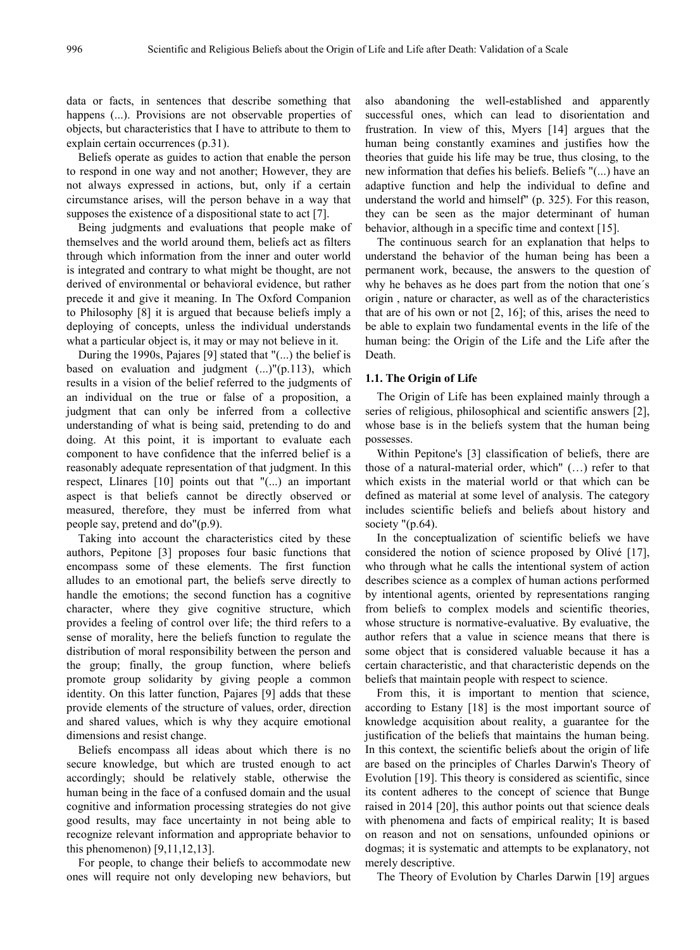data or facts, in sentences that describe something that happens (...). Provisions are not observable properties of objects, but characteristics that I have to attribute to them to explain certain occurrences (p.31).

Beliefs operate as guides to action that enable the person to respond in one way and not another; However, they are not always expressed in actions, but, only if a certain circumstance arises, will the person behave in a way that supposes the existence of a dispositional state to act [7].

Being judgments and evaluations that people make of themselves and the world around them, beliefs act as filters through which information from the inner and outer world is integrated and contrary to what might be thought, are not derived of environmental or behavioral evidence, but rather precede it and give it meaning. In The Oxford Companion to Philosophy [8] it is argued that because beliefs imply a deploying of concepts, unless the individual understands what a particular object is, it may or may not believe in it.

During the 1990s, Pajares [9] stated that "(...) the belief is based on evaluation and judgment  $(...)''(p.113)$ , which results in a vision of the belief referred to the judgments of an individual on the true or false of a proposition, a judgment that can only be inferred from a collective understanding of what is being said, pretending to do and doing. At this point, it is important to evaluate each component to have confidence that the inferred belief is a reasonably adequate representation of that judgment. In this respect, Llinares [10] points out that "(...) an important aspect is that beliefs cannot be directly observed or measured, therefore, they must be inferred from what people say, pretend and do"(p.9).

Taking into account the characteristics cited by these authors, Pepitone [3] proposes four basic functions that encompass some of these elements. The first function alludes to an emotional part, the beliefs serve directly to handle the emotions; the second function has a cognitive character, where they give cognitive structure, which provides a feeling of control over life; the third refers to a sense of morality, here the beliefs function to regulate the distribution of moral responsibility between the person and the group; finally, the group function, where beliefs promote group solidarity by giving people a common identity. On this latter function, Pajares [9] adds that these provide elements of the structure of values, order, direction and shared values, which is why they acquire emotional dimensions and resist change.

Beliefs encompass all ideas about which there is no secure knowledge, but which are trusted enough to act accordingly; should be relatively stable, otherwise the human being in the face of a confused domain and the usual cognitive and information processing strategies do not give good results, may face uncertainty in not being able to recognize relevant information and appropriate behavior to this phenomenon) [9,11,12,13].

For people, to change their beliefs to accommodate new ones will require not only developing new behaviors, but also abandoning the well-established and apparently successful ones, which can lead to disorientation and frustration. In view of this, Myers [14] argues that the human being constantly examines and justifies how the theories that guide his life may be true, thus closing, to the new information that defies his beliefs. Beliefs "(...) have an adaptive function and help the individual to define and understand the world and himself" (p. 325). For this reason, they can be seen as the major determinant of human behavior, although in a specific time and context [15].

The continuous search for an explanation that helps to understand the behavior of the human being has been a permanent work, because, the answers to the question of why he behaves as he does part from the notion that one´s origin , nature or character, as well as of the characteristics that are of his own or not [2, 16]; of this, arises the need to be able to explain two fundamental events in the life of the human being: the Origin of the Life and the Life after the Death.

#### **1.1. The Origin of Life**

The Origin of Life has been explained mainly through a series of religious, philosophical and scientific answers [2], whose base is in the beliefs system that the human being possesses.

Within Pepitone's [3] classification of beliefs, there are those of a natural-material order, which" (…) refer to that which exists in the material world or that which can be defined as material at some level of analysis. The category includes scientific beliefs and beliefs about history and society "(p.64).

In the conceptualization of scientific beliefs we have considered the notion of science proposed by Olivé [17], who through what he calls the intentional system of action describes science as a complex of human actions performed by intentional agents, oriented by representations ranging from beliefs to complex models and scientific theories, whose structure is normative-evaluative. By evaluative, the author refers that a value in science means that there is some object that is considered valuable because it has a certain characteristic, and that characteristic depends on the beliefs that maintain people with respect to science.

From this, it is important to mention that science, according to Estany [18] is the most important source of knowledge acquisition about reality, a guarantee for the justification of the beliefs that maintains the human being. In this context, the scientific beliefs about the origin of life are based on the principles of Charles Darwin's Theory of Evolution [19]. This theory is considered as scientific, since its content adheres to the concept of science that Bunge raised in 2014 [20], this author points out that science deals with phenomena and facts of empirical reality; It is based on reason and not on sensations, unfounded opinions or dogmas; it is systematic and attempts to be explanatory, not merely descriptive.

The Theory of Evolution by Charles Darwin [19] argues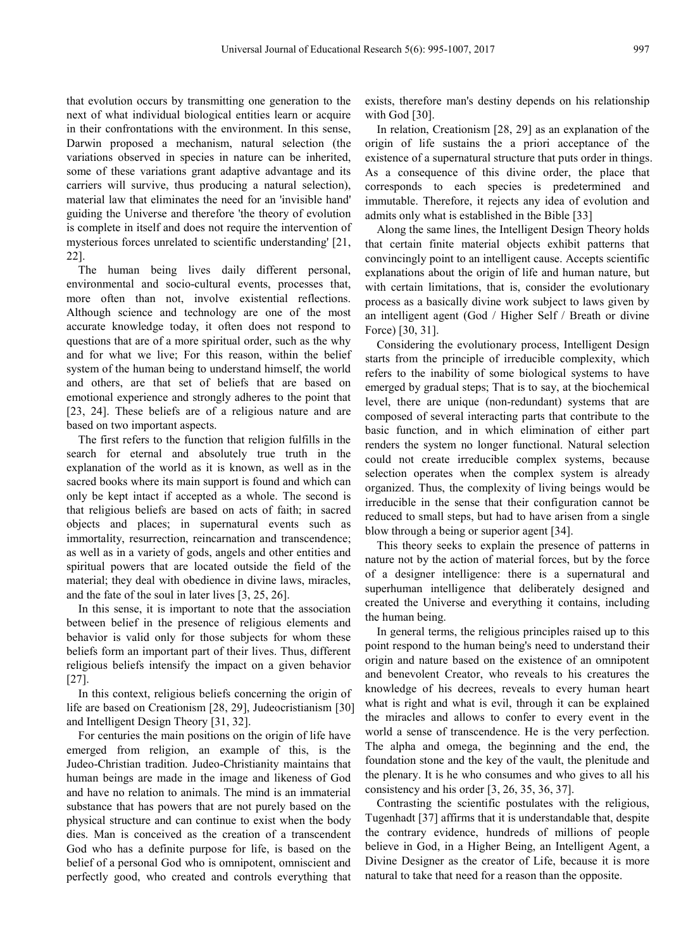that evolution occurs by transmitting one generation to the next of what individual biological entities learn or acquire in their confrontations with the environment. In this sense, Darwin proposed a mechanism, natural selection (the variations observed in species in nature can be inherited, some of these variations grant adaptive advantage and its carriers will survive, thus producing a natural selection), material law that eliminates the need for an 'invisible hand' guiding the Universe and therefore 'the theory of evolution is complete in itself and does not require the intervention of mysterious forces unrelated to scientific understanding' [21, 22].

The human being lives daily different personal, environmental and socio-cultural events, processes that, more often than not, involve existential reflections. Although science and technology are one of the most accurate knowledge today, it often does not respond to questions that are of a more spiritual order, such as the why and for what we live; For this reason, within the belief system of the human being to understand himself, the world and others, are that set of beliefs that are based on emotional experience and strongly adheres to the point that [23, 24]. These beliefs are of a religious nature and are based on two important aspects.

The first refers to the function that religion fulfills in the search for eternal and absolutely true truth in the explanation of the world as it is known, as well as in the sacred books where its main support is found and which can only be kept intact if accepted as a whole. The second is that religious beliefs are based on acts of faith; in sacred objects and places; in supernatural events such as immortality, resurrection, reincarnation and transcendence; as well as in a variety of gods, angels and other entities and spiritual powers that are located outside the field of the material; they deal with obedience in divine laws, miracles, and the fate of the soul in later lives [3, 25, 26].

In this sense, it is important to note that the association between belief in the presence of religious elements and behavior is valid only for those subjects for whom these beliefs form an important part of their lives. Thus, different religious beliefs intensify the impact on a given behavior [27].

In this context, religious beliefs concerning the origin of life are based on Creationism [28, 29], Judeocristianism [30] and Intelligent Design Theory [31, 32].

For centuries the main positions on the origin of life have emerged from religion, an example of this, is the Judeo-Christian tradition. Judeo-Christianity maintains that human beings are made in the image and likeness of God and have no relation to animals. The mind is an immaterial substance that has powers that are not purely based on the physical structure and can continue to exist when the body dies. Man is conceived as the creation of a transcendent God who has a definite purpose for life, is based on the belief of a personal God who is omnipotent, omniscient and perfectly good, who created and controls everything that

exists, therefore man's destiny depends on his relationship with God [30].

In relation, Creationism [28, 29] as an explanation of the origin of life sustains the a priori acceptance of the existence of a supernatural structure that puts order in things. As a consequence of this divine order, the place that corresponds to each species is predetermined and immutable. Therefore, it rejects any idea of evolution and admits only what is established in the Bible [33]

Along the same lines, the Intelligent Design Theory holds that certain finite material objects exhibit patterns that convincingly point to an intelligent cause. Accepts scientific explanations about the origin of life and human nature, but with certain limitations, that is, consider the evolutionary process as a basically divine work subject to laws given by an intelligent agent (God / Higher Self / Breath or divine Force) [30, 31].

Considering the evolutionary process, Intelligent Design starts from the principle of irreducible complexity, which refers to the inability of some biological systems to have emerged by gradual steps; That is to say, at the biochemical level, there are unique (non-redundant) systems that are composed of several interacting parts that contribute to the basic function, and in which elimination of either part renders the system no longer functional. Natural selection could not create irreducible complex systems, because selection operates when the complex system is already organized. Thus, the complexity of living beings would be irreducible in the sense that their configuration cannot be reduced to small steps, but had to have arisen from a single blow through a being or superior agent [34].

This theory seeks to explain the presence of patterns in nature not by the action of material forces, but by the force of a designer intelligence: there is a supernatural and superhuman intelligence that deliberately designed and created the Universe and everything it contains, including the human being.

In general terms, the religious principles raised up to this point respond to the human being's need to understand their origin and nature based on the existence of an omnipotent and benevolent Creator, who reveals to his creatures the knowledge of his decrees, reveals to every human heart what is right and what is evil, through it can be explained the miracles and allows to confer to every event in the world a sense of transcendence. He is the very perfection. The alpha and omega, the beginning and the end, the foundation stone and the key of the vault, the plenitude and the plenary. It is he who consumes and who gives to all his consistency and his order [3, 26, 35, 36, 37].

Contrasting the scientific postulates with the religious, Tugenhadt [37] affirms that it is understandable that, despite the contrary evidence, hundreds of millions of people believe in God, in a Higher Being, an Intelligent Agent, a Divine Designer as the creator of Life, because it is more natural to take that need for a reason than the opposite.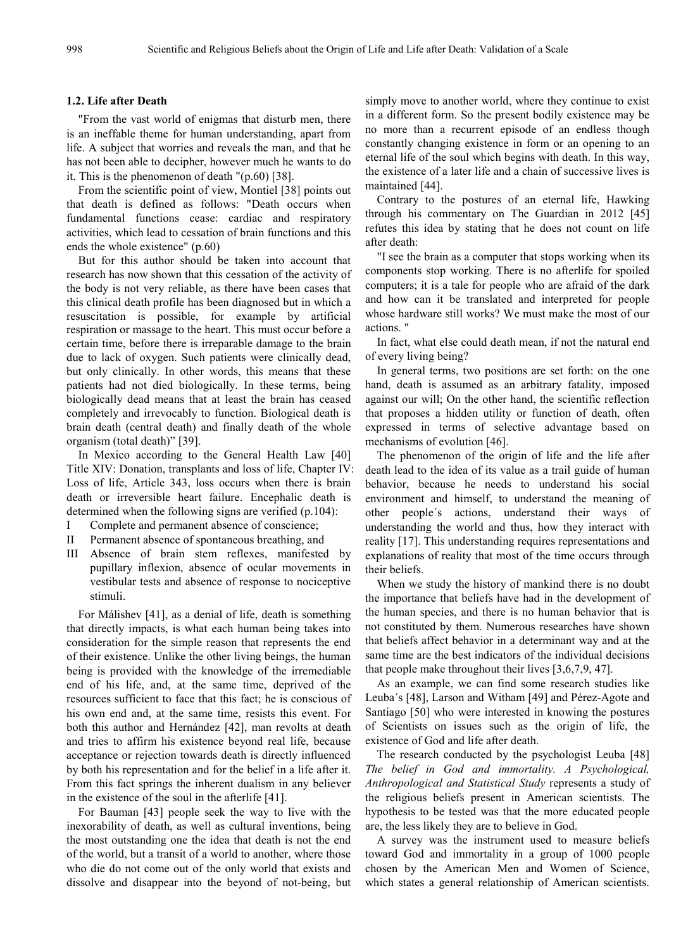#### **1.2. Life after Death**

"From the vast world of enigmas that disturb men, there is an ineffable theme for human understanding, apart from life. A subject that worries and reveals the man, and that he has not been able to decipher, however much he wants to do it. This is the phenomenon of death "(p.60) [38].

From the scientific point of view, Montiel [38] points out that death is defined as follows: "Death occurs when fundamental functions cease: cardiac and respiratory activities, which lead to cessation of brain functions and this ends the whole existence" (p.60)

But for this author should be taken into account that research has now shown that this cessation of the activity of the body is not very reliable, as there have been cases that this clinical death profile has been diagnosed but in which a resuscitation is possible, for example by artificial respiration or massage to the heart. This must occur before a certain time, before there is irreparable damage to the brain due to lack of oxygen. Such patients were clinically dead, but only clinically. In other words, this means that these patients had not died biologically. In these terms, being biologically dead means that at least the brain has ceased completely and irrevocably to function. Biological death is brain death (central death) and finally death of the whole organism (total death)" [39].

In Mexico according to the General Health Law [40] Title XIV: Donation, transplants and loss of life, Chapter IV: Loss of life, Article 343, loss occurs when there is brain death or irreversible heart failure. Encephalic death is determined when the following signs are verified (p.104):

- I Complete and permanent absence of conscience;
- II Permanent absence of spontaneous breathing, and
- III Absence of brain stem reflexes, manifested by pupillary inflexion, absence of ocular movements in vestibular tests and absence of response to nociceptive stimuli.

For Málishev [41], as a denial of life, death is something that directly impacts, is what each human being takes into consideration for the simple reason that represents the end of their existence. Unlike the other living beings, the human being is provided with the knowledge of the irremediable end of his life, and, at the same time, deprived of the resources sufficient to face that this fact; he is conscious of his own end and, at the same time, resists this event. For both this author and Hernández [42], man revolts at death and tries to affirm his existence beyond real life, because acceptance or rejection towards death is directly influenced by both his representation and for the belief in a life after it. From this fact springs the inherent dualism in any believer in the existence of the soul in the afterlife [41].

For Bauman [43] people seek the way to live with the inexorability of death, as well as cultural inventions, being the most outstanding one the idea that death is not the end of the world, but a transit of a world to another, where those who die do not come out of the only world that exists and dissolve and disappear into the beyond of not-being, but

simply move to another world, where they continue to exist in a different form. So the present bodily existence may be no more than a recurrent episode of an endless though constantly changing existence in form or an opening to an eternal life of the soul which begins with death. In this way, the existence of a later life and a chain of successive lives is maintained [44].

Contrary to the postures of an eternal life, Hawking through his commentary on The Guardian in 2012 [45] refutes this idea by stating that he does not count on life after death:

"I see the brain as a computer that stops working when its components stop working. There is no afterlife for spoiled computers; it is a tale for people who are afraid of the dark and how can it be translated and interpreted for people whose hardware still works? We must make the most of our actions. "

In fact, what else could death mean, if not the natural end of every living being?

In general terms, two positions are set forth: on the one hand, death is assumed as an arbitrary fatality, imposed against our will; On the other hand, the scientific reflection that proposes a hidden utility or function of death, often expressed in terms of selective advantage based on mechanisms of evolution [46].

The phenomenon of the origin of life and the life after death lead to the idea of its value as a trail guide of human behavior, because he needs to understand his social environment and himself, to understand the meaning of other people´s actions, understand their ways of understanding the world and thus, how they interact with reality [17]. This understanding requires representations and explanations of reality that most of the time occurs through their beliefs.

When we study the history of mankind there is no doubt the importance that beliefs have had in the development of the human species, and there is no human behavior that is not constituted by them. Numerous researches have shown that beliefs affect behavior in a determinant way and at the same time are the best indicators of the individual decisions that people make throughout their lives [3,6,7,9, 47].

As an example, we can find some research studies like Leuba´s [48], Larson and Witham [49] and Pérez-Agote and Santiago [50] who were interested in knowing the postures of Scientists on issues such as the origin of life, the existence of God and life after death.

The research conducted by the psychologist Leuba [48] *The belief in God and immortality. A Psychological, Anthropological and Statistical Study* represents a study of the religious beliefs present in American scientists. The hypothesis to be tested was that the more educated people are, the less likely they are to believe in God.

A survey was the instrument used to measure beliefs toward God and immortality in a group of 1000 people chosen by the American Men and Women of Science, which states a general relationship of American scientists.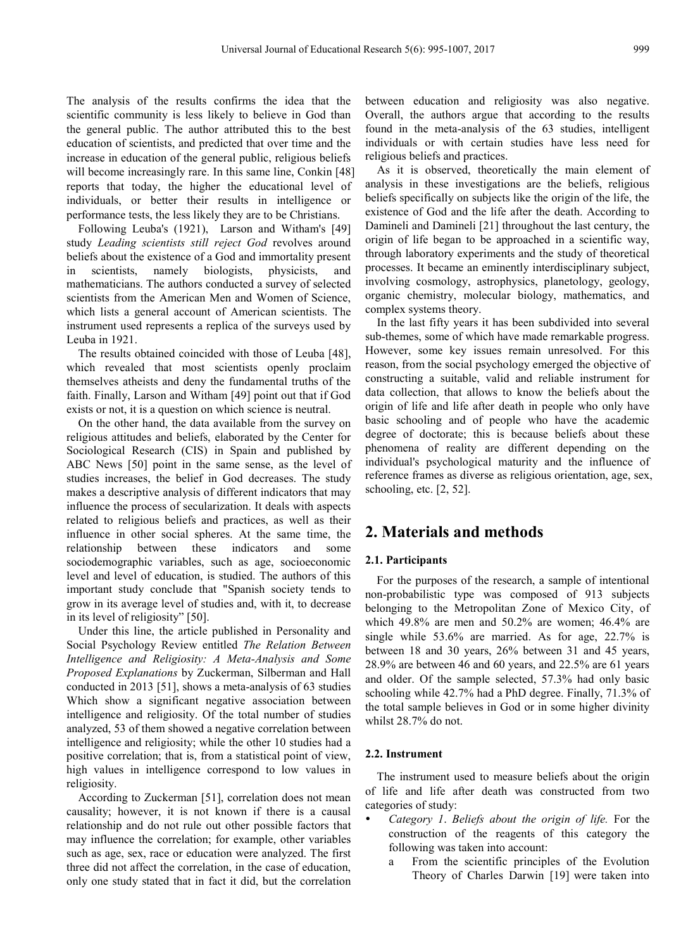The analysis of the results confirms the idea that the scientific community is less likely to believe in God than the general public. The author attributed this to the best education of scientists, and predicted that over time and the increase in education of the general public, religious beliefs will become increasingly rare. In this same line, Conkin [48] reports that today, the higher the educational level of individuals, or better their results in intelligence or performance tests, the less likely they are to be Christians.

Following Leuba's (1921), Larson and Witham's [49] study *Leading scientists still reject God* revolves around beliefs about the existence of a God and immortality present in scientists, namely biologists, physicists, and mathematicians. The authors conducted a survey of selected scientists from the American Men and Women of Science, which lists a general account of American scientists. The instrument used represents a replica of the surveys used by Leuba in 1921.

The results obtained coincided with those of Leuba [48], which revealed that most scientists openly proclaim themselves atheists and deny the fundamental truths of the faith. Finally, Larson and Witham [49] point out that if God exists or not, it is a question on which science is neutral.

On the other hand, the data available from the survey on religious attitudes and beliefs, elaborated by the Center for Sociological Research (CIS) in Spain and published by ABC News [50] point in the same sense, as the level of studies increases, the belief in God decreases. The study makes a descriptive analysis of different indicators that may influence the process of secularization. It deals with aspects related to religious beliefs and practices, as well as their influence in other social spheres. At the same time, the relationship between these indicators and some sociodemographic variables, such as age, socioeconomic level and level of education, is studied. The authors of this important study conclude that "Spanish society tends to grow in its average level of studies and, with it, to decrease in its level of religiosity" [50].

Under this line, the article published in Personality and Social Psychology Review entitled *The Relation Between Intelligence and Religiosity: A Meta-Analysis and Some Proposed Explanations* by Zuckerman, Silberman and Hall conducted in 2013 [51], shows a meta-analysis of 63 studies Which show a significant negative association between intelligence and religiosity. Of the total number of studies analyzed, 53 of them showed a negative correlation between intelligence and religiosity; while the other 10 studies had a positive correlation; that is, from a statistical point of view, high values in intelligence correspond to low values in religiosity.

According to Zuckerman [51], correlation does not mean causality; however, it is not known if there is a causal relationship and do not rule out other possible factors that may influence the correlation; for example, other variables such as age, sex, race or education were analyzed. The first three did not affect the correlation, in the case of education, only one study stated that in fact it did, but the correlation

between education and religiosity was also negative. Overall, the authors argue that according to the results found in the meta-analysis of the 63 studies, intelligent individuals or with certain studies have less need for religious beliefs and practices.

As it is observed, theoretically the main element of analysis in these investigations are the beliefs, religious beliefs specifically on subjects like the origin of the life, the existence of God and the life after the death. According to Damineli and Damineli [21] throughout the last century, the origin of life began to be approached in a scientific way, through laboratory experiments and the study of theoretical processes. It became an eminently interdisciplinary subject, involving cosmology, astrophysics, planetology, geology, organic chemistry, molecular biology, mathematics, and complex systems theory.

In the last fifty years it has been subdivided into several sub-themes, some of which have made remarkable progress. However, some key issues remain unresolved. For this reason, from the social psychology emerged the objective of constructing a suitable, valid and reliable instrument for data collection, that allows to know the beliefs about the origin of life and life after death in people who only have basic schooling and of people who have the academic degree of doctorate; this is because beliefs about these phenomena of reality are different depending on the individual's psychological maturity and the influence of reference frames as diverse as religious orientation, age, sex, schooling, etc. [2, 52].

## **2. Materials and methods**

#### **2.1. Participants**

For the purposes of the research, a sample of intentional non-probabilistic type was composed of 913 subjects belonging to the Metropolitan Zone of Mexico City, of which 49.8% are men and 50.2% are women; 46.4% are single while 53.6% are married. As for age, 22.7% is between 18 and 30 years, 26% between 31 and 45 years, 28.9% are between 46 and 60 years, and 22.5% are 61 years and older. Of the sample selected, 57.3% had only basic schooling while 42.7% had a PhD degree. Finally, 71.3% of the total sample believes in God or in some higher divinity whilst 28.7% do not.

#### **2.2. Instrument**

The instrument used to measure beliefs about the origin of life and life after death was constructed from two categories of study:

- *Category 1*. *Beliefs about the origin of life.* For the construction of the reagents of this category the following was taken into account:
	- a From the scientific principles of the Evolution Theory of Charles Darwin [19] were taken into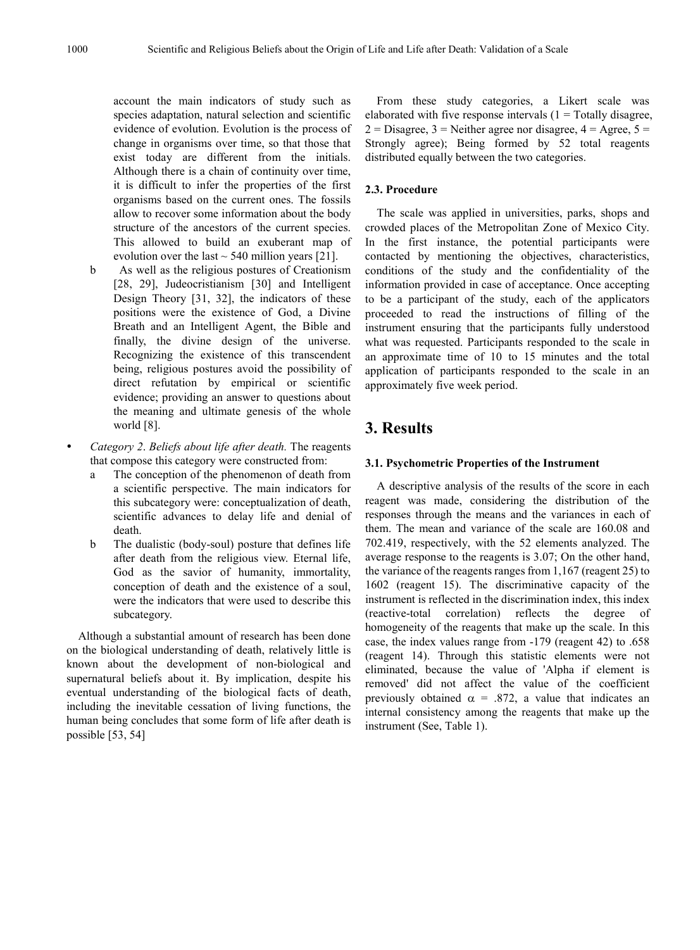account the main indicators of study such as species adaptation, natural selection and scientific evidence of evolution. Evolution is the process of change in organisms over time, so that those that exist today are different from the initials. Although there is a chain of continuity over time, it is difficult to infer the properties of the first organisms based on the current ones. The fossils allow to recover some information about the body structure of the ancestors of the current species. This allowed to build an exuberant map of evolution over the last  $\sim$  540 million years [21].

- b As well as the religious postures of Creationism [28, 29], Judeocristianism [30] and Intelligent Design Theory [31, 32], the indicators of these positions were the existence of God, a Divine Breath and an Intelligent Agent, the Bible and finally, the divine design of the universe. Recognizing the existence of this transcendent being, religious postures avoid the possibility of direct refutation by empirical or scientific evidence; providing an answer to questions about the meaning and ultimate genesis of the whole world [8].
- *Category 2*. *Beliefs about life after death.* The reagents that compose this category were constructed from:
	- a The conception of the phenomenon of death from a scientific perspective. The main indicators for this subcategory were: conceptualization of death, scientific advances to delay life and denial of death.
	- b The dualistic (body-soul) posture that defines life after death from the religious view. Eternal life, God as the savior of humanity, immortality, conception of death and the existence of a soul, were the indicators that were used to describe this subcategory.

Although a substantial amount of research has been done on the biological understanding of death, relatively little is known about the development of non-biological and supernatural beliefs about it. By implication, despite his eventual understanding of the biological facts of death, including the inevitable cessation of living functions, the human being concludes that some form of life after death is possible [53, 54]

From these study categories, a Likert scale was elaborated with five response intervals  $(1 - \text{Totally disagree},$  $2 = Disagree, 3 = Neither agree nor disagree, 4 = Age, 5 =$ Strongly agree); Being formed by 52 total reagents distributed equally between the two categories.

#### **2.3. Procedure**

The scale was applied in universities, parks, shops and crowded places of the Metropolitan Zone of Mexico City. In the first instance, the potential participants were contacted by mentioning the objectives, characteristics, conditions of the study and the confidentiality of the information provided in case of acceptance. Once accepting to be a participant of the study, each of the applicators proceeded to read the instructions of filling of the instrument ensuring that the participants fully understood what was requested. Participants responded to the scale in an approximate time of 10 to 15 minutes and the total application of participants responded to the scale in an approximately five week period.

## **3. Results**

#### **3.1. Psychometric Properties of the Instrument**

A descriptive analysis of the results of the score in each reagent was made, considering the distribution of the responses through the means and the variances in each of them. The mean and variance of the scale are 160.08 and 702.419, respectively, with the 52 elements analyzed. The average response to the reagents is 3.07; On the other hand, the variance of the reagents ranges from 1,167 (reagent 25) to 1602 (reagent 15). The discriminative capacity of the instrument is reflected in the discrimination index, this index (reactive-total correlation) reflects the degree of homogeneity of the reagents that make up the scale. In this case, the index values range from -179 (reagent 42) to .658 (reagent 14). Through this statistic elements were not eliminated, because the value of 'Alpha if element is removed' did not affect the value of the coefficient previously obtained  $\alpha$  = .872, a value that indicates an internal consistency among the reagents that make up the instrument (See, Table 1).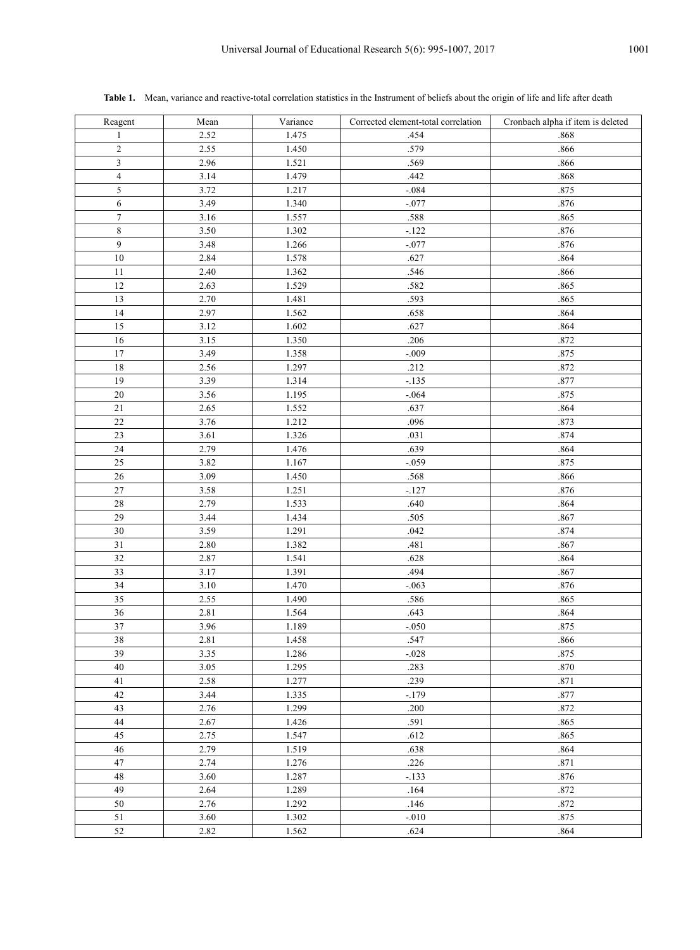| Reagent        | Mean | Variance | Corrected element-total correlation | Cronbach alpha if item is deleted |
|----------------|------|----------|-------------------------------------|-----------------------------------|
| 1              | 2.52 | 1.475    | .454                                | .868                              |
| $\mathbf{2}$   | 2.55 | 1.450    | .579                                | .866                              |
| 3              | 2.96 | 1.521    | .569                                | .866                              |
| $\overline{4}$ | 3.14 | 1.479    | .442                                | .868                              |
| 5              | 3.72 | 1.217    | $-.084$                             | .875                              |
| $\overline{6}$ | 3.49 | 1.340    | $-.077$                             | $.876\,$                          |
| $\overline{7}$ | 3.16 | 1.557    | .588                                | .865                              |
| $\,8\,$        | 3.50 | 1.302    | $-.122$                             | .876                              |
| 9              | 3.48 | 1.266    | $-.077$                             | .876                              |
| $10\,$         | 2.84 | 1.578    | .627                                | .864                              |
| $1\,1$         | 2.40 | 1.362    | .546                                | .866                              |
| 12             | 2.63 | 1.529    | .582                                | .865                              |
| 13             | 2.70 | 1.481    | .593                                | .865                              |
| 14             | 2.97 | 1.562    | .658                                | .864                              |
| 15             | 3.12 | 1.602    | .627                                | .864                              |
| $16\,$         | 3.15 | 1.350    | .206                                | .872                              |
| 17             | 3.49 | 1.358    | $-.009$                             | .875                              |
| $1\,8$         | 2.56 | 1.297    | .212                                | .872                              |
| 19             | 3.39 | 1.314    | $-.135$                             | .877                              |
| 20             | 3.56 | 1.195    | $-.064$                             | .875                              |
| 21             | 2.65 | 1.552    | .637                                | .864                              |
| 22             | 3.76 | 1.212    | .096                                | .873                              |
| 23             | 3.61 | 1.326    | .031                                | .874                              |
| 24             | 2.79 | 1.476    | .639                                | .864                              |
| 25             | 3.82 | 1.167    | $-.059$                             | .875                              |
| 26             | 3.09 | 1.450    | .568                                | .866                              |
| 27             | 3.58 | 1.251    | $-.127$                             | $.876\,$                          |
| $28\,$         | 2.79 | 1.533    | .640                                | .864                              |
| 29             | 3.44 | 1.434    | .505                                | .867                              |
| 30             | 3.59 | 1.291    | .042                                | .874                              |
| 31             | 2.80 | 1.382    | .481                                | .867                              |
| 32             | 2.87 | 1.541    | .628                                | .864                              |
| 33             | 3.17 | 1.391    | .494                                | .867                              |
| 34             | 3.10 | 1.470    | $-.063$                             | .876                              |
| 35             | 2.55 | 1.490    | .586                                | .865                              |
| 36             | 2.81 | 1.564    | .643                                | .864                              |
| 37             | 3.96 | 1.189    | $-.050$                             | .875                              |
| 38             | 2.81 | 1.458    | .547                                | .866                              |
| 39             | 3.35 | 1.286    | $-.028$                             | .875                              |
| 40             | 3.05 | 1.295    | .283                                | $.870\,$                          |
| 41             | 2.58 | 1.277    | .239                                | .871                              |
| $42\,$         | 3.44 | 1.335    | $-.179$                             | .877                              |
| 43             | 2.76 | 1.299    | .200                                | .872                              |
| $44\,$         | 2.67 | 1.426    | .591                                | .865                              |
| 45             | 2.75 | 1.547    | .612                                | .865                              |
| $46\,$         | 2.79 | 1.519    | .638                                | .864                              |
| 47             | 2.74 | 1.276    | $.226\,$                            | .871                              |
| $48\,$         | 3.60 | 1.287    | $-.133$                             | $.876\,$                          |
| 49             | 2.64 | 1.289    | .164                                | .872                              |
| 50             | 2.76 | 1.292    | .146                                | .872                              |
| 51             | 3.60 | 1.302    | $-.010$                             | .875                              |
| 52             | 2.82 | 1.562    | .624                                | .864                              |

Table 1. Mean, variance and reactive-total correlation statistics in the Instrument of beliefs about the origin of life and life after death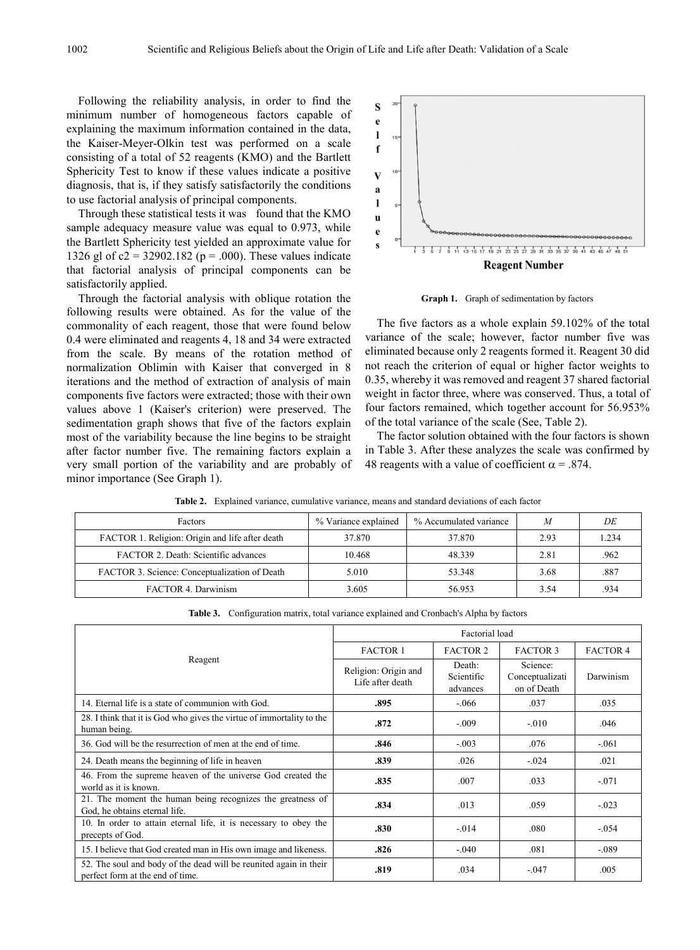Following the reliability analysis, in order to find the minimum number of homogeneous factors capable of explaining the maximum information contained in the data, the Kaiser-Meyer-Olkin test was performed on a scale consisting of a total of 52 reagents (KMO) and the Bartlett Sphericity Test to know if these values indicate a positive diagnosis, that is, if they satisfy satisfactorily the conditions to use factorial analysis of principal components.

Through these statistical tests it was found that the KMO sample adequacy measure value was equal to 0.973, while the Bartlett Sphericity test yielded an approximate value for 1326 gl of  $c2 = 32902.182$  ( $p = .000$ ). These values indicate that factorial analysis of principal components can be satisfactorily applied.

Through the factorial analysis with oblique rotation the following results were obtained. As for the value of the commonality of each reagent, those that were found below 0.4 were eliminated and reagents 4, 18 and 34 were extracted from the scale. By means of the rotation method of normalization Oblimin with Kaiser that converged in 8 iterations and the method of extraction of analysis of main components five factors were extracted; those with their own values above 1 (Kaiser's criterion) were preserved. The sedimentation graph shows that five of the factors explain most of the variability because the line begins to be straight after factor number five. The remaining factors explain a very small portion of the variability and are probably of minor importance (See Graph 1).



**Graph 1.** Graph of sedimentation by factors

The five factors as a whole explain 59.102% of the total variance of the scale; however, factor number five was eliminated because only 2 reagents formed it. Reagent 30 did not reach the criterion of equal or higher factor weights to 0.35, whereby it was removed and reagent 37 shared factorial weight in factor three, where was conserved. Thus, a total of four factors remained, which together account for 56.953% of the total variance of the scale (See, Table 2).

The factor solution obtained with the four factors is shown in Table 3. After these analyzes the scale was confirmed by 48 reagents with a value of coefficient  $\alpha$  = .874.

| Factors                                         | % Variance explained | % Accumulated variance | M    | DE    |
|-------------------------------------------------|----------------------|------------------------|------|-------|
| FACTOR 1. Religion: Origin and life after death | 37.870               | 37.870                 | 2.93 | 1.234 |
| FACTOR 2. Death: Scientific advances            | 10.468               | 48.339                 | 2.81 | .962  |
| FACTOR 3. Science: Conceptualization of Death   | 5.010                | 53.348                 | 3.68 | .887  |
| FACTOR 4. Darwinism                             | 3.605                | 56.953                 | 3.54 | .934  |

**Table 2.** Explained variance, cumulative variance, means and standard deviations of each factor

**Table 3.** Configuration matrix, total variance explained and Cronbach's Alpha by factors

|                                                                                                       | Factorial load                           |                                  |                                            |                 |
|-------------------------------------------------------------------------------------------------------|------------------------------------------|----------------------------------|--------------------------------------------|-----------------|
|                                                                                                       | <b>FACTOR 1</b>                          | <b>FACTOR 2</b>                  | <b>FACTOR 3</b>                            | <b>FACTOR 4</b> |
| Reagent                                                                                               | Religion: Origin and<br>Life after death | Death:<br>Scientific<br>advances | Science:<br>Conceptualizati<br>on of Death | Darwinism       |
| 14. Eternal life is a state of communion with God.                                                    | .895                                     | $-.066$                          | .037                                       | .035            |
| 28. I think that it is God who gives the virtue of immortality to the<br>human being.                 | .872                                     | $-.009$                          | $-010$                                     | .046            |
| 36. God will be the resurrection of men at the end of time.                                           | .846                                     | $-.003$                          | .076                                       | $-.061$         |
| 24. Death means the beginning of life in heaven                                                       | .839                                     | .026                             | $-.024$                                    | .021            |
| 46. From the supreme heaven of the universe God created the<br>world as it is known.                  | .835                                     | .007                             | .033                                       | $-.071$         |
| 21. The moment the human being recognizes the greatness of<br>God, he obtains eternal life.           | .834                                     | .013                             | .059                                       | $-.023$         |
| 10. In order to attain eternal life, it is necessary to obey the<br>precepts of God.                  | .830                                     | $-0.014$                         | .080                                       | $-.054$         |
| 15. I believe that God created man in His own image and likeness.                                     | .826                                     | $-.040$                          | .081                                       | $-.089$         |
| 52. The soul and body of the dead will be reunited again in their<br>perfect form at the end of time. | .819                                     | .034                             | $-.047$                                    | .005            |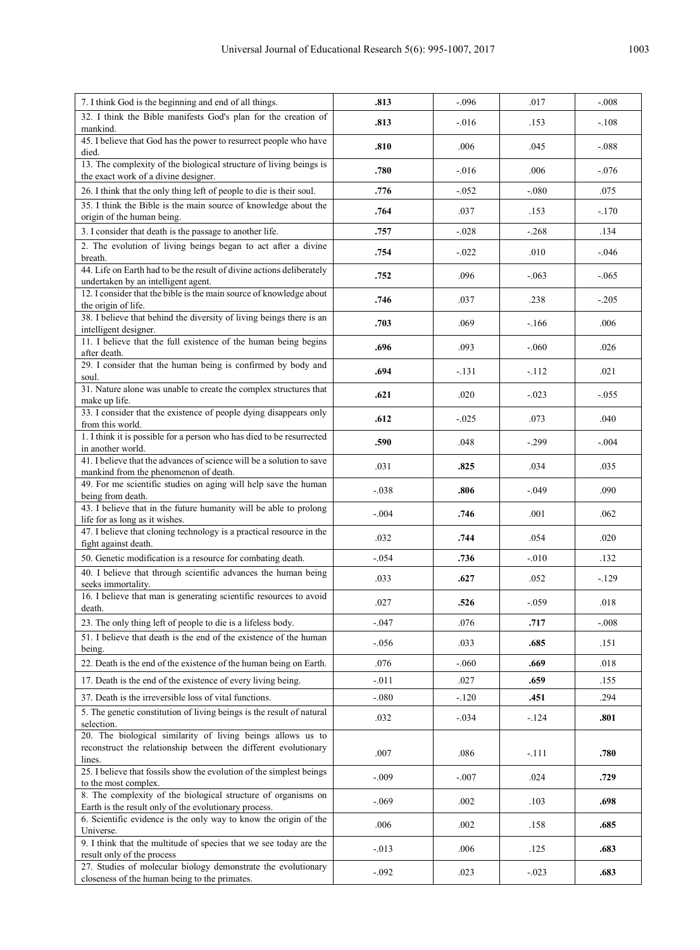| 7. I think God is the beginning and end of all things.                                                                                   | .813     | $-.096$  | .017     | $-.008$ |
|------------------------------------------------------------------------------------------------------------------------------------------|----------|----------|----------|---------|
| 32. I think the Bible manifests God's plan for the creation of<br>mankind.                                                               | .813     | $-.016$  | .153     | $-.108$ |
| 45. I believe that God has the power to resurrect people who have<br>died.                                                               | .810     | .006     | .045     | $-.088$ |
| 13. The complexity of the biological structure of living beings is<br>the exact work of a divine designer.                               | .780     | $-.016$  | .006     | $-.076$ |
| 26. I think that the only thing left of people to die is their soul.                                                                     | .776     | $-0.052$ | $-080$   | .075    |
| 35. I think the Bible is the main source of knowledge about the                                                                          | .764     | .037     | .153     | $-.170$ |
| origin of the human being.                                                                                                               |          |          |          |         |
| 3. I consider that death is the passage to another life.                                                                                 | .757     | $-.028$  | $-.268$  | .134    |
| 2. The evolution of living beings began to act after a divine<br>breath.                                                                 | .754     | $-0.022$ | .010     | $-.046$ |
| 44. Life on Earth had to be the result of divine actions deliberately<br>undertaken by an intelligent agent.                             | .752     | .096     | $-0.063$ | $-.065$ |
| 12. I consider that the bible is the main source of knowledge about<br>the origin of life.                                               | .746     | .037     | .238     | $-.205$ |
| 38. I believe that behind the diversity of living beings there is an<br>intelligent designer.                                            | .703     | .069     | $-.166$  | .006    |
| 11. I believe that the full existence of the human being begins<br>after death.                                                          | .696     | .093     | $-.060$  | .026    |
| 29. I consider that the human being is confirmed by body and<br>soul.                                                                    | .694     | $-.131$  | $-.112$  | .021    |
| 31. Nature alone was unable to create the complex structures that<br>make up life.                                                       | .621     | .020     | $-.023$  | $-.055$ |
| 33. I consider that the existence of people dying disappears only<br>from this world.                                                    | .612     | $-0.025$ | .073     | .040    |
| 1. I think it is possible for a person who has died to be resurrected<br>in another world.                                               | .590     | .048     | $-.299$  | $-.004$ |
| 41. I believe that the advances of science will be a solution to save<br>mankind from the phenomenon of death.                           | .031     | .825     | .034     | .035    |
| 49. For me scientific studies on aging will help save the human<br>being from death.                                                     | $-.038$  | .806     | $-.049$  | .090    |
| 43. I believe that in the future humanity will be able to prolong<br>life for as long as it wishes.                                      | $-.004$  | .746     | .001     | .062    |
| 47. I believe that cloning technology is a practical resource in the<br>fight against death.                                             | .032     | .744     | .054     | .020    |
| 50. Genetic modification is a resource for combating death.                                                                              | $-.054$  | .736     | $-.010$  | .132    |
| 40. I believe that through scientific advances the human being<br>seeks immortality.                                                     | .033     | .627     | .052     | $-129$  |
| 16. I believe that man is generating scientific resources to avoid<br>death.                                                             | .027     | .526     | $-.059$  | .018    |
| 23. The only thing left of people to die is a lifeless body.                                                                             | $-.047$  | .076     | .717     | $-.008$ |
| 51. I believe that death is the end of the existence of the human<br>being.                                                              | $-.056$  | .033     | .685     | .151    |
| 22. Death is the end of the existence of the human being on Earth.                                                                       | .076     | $-060$   | .669     | .018    |
| 17. Death is the end of the existence of every living being.                                                                             | $-.011$  | .027     | .659     | .155    |
| 37. Death is the irreversible loss of vital functions.                                                                                   | $-0.080$ | $-.120$  | .451     | .294    |
| 5. The genetic constitution of living beings is the result of natural<br>selection.                                                      | .032     | $-.034$  | $-124$   | .801    |
| 20. The biological similarity of living beings allows us to<br>reconstruct the relationship between the different evolutionary<br>lines. | .007     | .086     | -.111    | .780    |
| 25. I believe that fossils show the evolution of the simplest beings<br>to the most complex.                                             | $-0.09$  | $-.007$  | .024     | .729    |
| 8. The complexity of the biological structure of organisms on<br>Earth is the result only of the evolutionary process.                   | $-.069$  | .002     | .103     | .698    |
| 6. Scientific evidence is the only way to know the origin of the<br>Universe.                                                            | .006     | .002     | .158     | .685    |
| 9. I think that the multitude of species that we see today are the<br>result only of the process                                         | $-.013$  | .006     | .125     | .683    |
| 27. Studies of molecular biology demonstrate the evolutionary<br>closeness of the human being to the primates.                           | $-.092$  | .023     | $-.023$  | .683    |
|                                                                                                                                          |          |          |          |         |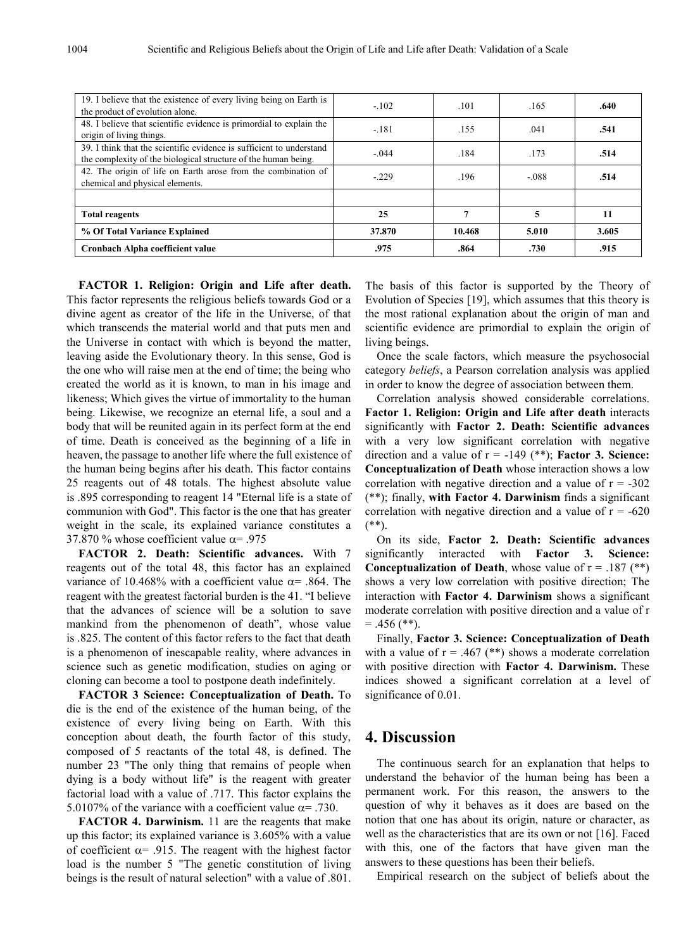| 19. I believe that the existence of every living being on Earth is<br>the product of evolution alone.                                  | $-102$  | .101   | .165   | .640  |
|----------------------------------------------------------------------------------------------------------------------------------------|---------|--------|--------|-------|
| 48. I believe that scientific evidence is primordial to explain the<br>origin of living things.                                        | $-.181$ | .155   | .041   | .541  |
| 39. I think that the scientific evidence is sufficient to understand<br>the complexity of the biological structure of the human being. | $-.044$ | .184   | .173   | .514  |
| 42. The origin of life on Earth arose from the combination of<br>chemical and physical elements.                                       | $-.229$ | .196   | $-088$ | .514  |
|                                                                                                                                        |         |        |        |       |
| <b>Total reagents</b>                                                                                                                  | 25      |        | 5      | 11    |
| % Of Total Variance Explained                                                                                                          | 37.870  | 10.468 | 5.010  | 3.605 |
| Cronbach Alpha coefficient value                                                                                                       | .975    | .864   | .730   | .915  |

**FACTOR 1. Religion: Origin and Life after death.**  This factor represents the religious beliefs towards God or a divine agent as creator of the life in the Universe, of that which transcends the material world and that puts men and the Universe in contact with which is beyond the matter, leaving aside the Evolutionary theory. In this sense, God is the one who will raise men at the end of time; the being who created the world as it is known, to man in his image and likeness; Which gives the virtue of immortality to the human being. Likewise, we recognize an eternal life, a soul and a body that will be reunited again in its perfect form at the end of time. Death is conceived as the beginning of a life in heaven, the passage to another life where the full existence of the human being begins after his death. This factor contains 25 reagents out of 48 totals. The highest absolute value is .895 corresponding to reagent 14 "Eternal life is a state of communion with God". This factor is the one that has greater weight in the scale, its explained variance constitutes a 37.870 % whose coefficient value  $\alpha$ = .975

**FACTOR 2. Death: Scientific advances.** With 7 reagents out of the total 48, this factor has an explained variance of 10.468% with a coefficient value  $\alpha$ = .864. The reagent with the greatest factorial burden is the 41. "I believe that the advances of science will be a solution to save mankind from the phenomenon of death", whose value is .825. The content of this factor refers to the fact that death is a phenomenon of inescapable reality, where advances in science such as genetic modification, studies on aging or cloning can become a tool to postpone death indefinitely.

**FACTOR 3 Science: Conceptualization of Death.** To die is the end of the existence of the human being, of the existence of every living being on Earth. With this conception about death, the fourth factor of this study, composed of 5 reactants of the total 48, is defined. The number 23 "The only thing that remains of people when dying is a body without life" is the reagent with greater factorial load with a value of .717. This factor explains the 5.0107% of the variance with a coefficient value  $\alpha$ = .730.

**FACTOR 4. Darwinism.** 11 are the reagents that make up this factor; its explained variance is 3.605% with a value of coefficient  $\alpha$ = .915. The reagent with the highest factor load is the number 5 "The genetic constitution of living beings is the result of natural selection" with a value of .801.

The basis of this factor is supported by the Theory of Evolution of Species [19], which assumes that this theory is the most rational explanation about the origin of man and scientific evidence are primordial to explain the origin of living beings.

Once the scale factors, which measure the psychosocial category *beliefs*, a Pearson correlation analysis was applied in order to know the degree of association between them.

Correlation analysis showed considerable correlations. **Factor 1. Religion: Origin and Life after death** interacts significantly with **Factor 2. Death: Scientific advances** with a very low significant correlation with negative direction and a value of  $r = -149$  (\*\*); **Factor 3. Science: Conceptualization of Death** whose interaction shows a low correlation with negative direction and a value of  $r = -302$ (\*\*); finally, **with Factor 4. Darwinism** finds a significant correlation with negative direction and a value of  $r = -620$  $(**)$ .

On its side, **Factor 2. Death: Scientific advances** significantly interacted with **Factor 3. Science: Conceptualization of Death**, whose value of  $r = .187$  (\*\*) shows a very low correlation with positive direction; The interaction with **Factor 4. Darwinism** shows a significant moderate correlation with positive direction and a value of r  $= .456$  (\*\*).

Finally, **Factor 3. Science: Conceptualization of Death** with a value of  $r = .467$  (\*\*) shows a moderate correlation with positive direction with **Factor 4. Darwinism.** These indices showed a significant correlation at a level of significance of 0.01.

## **4. Discussion**

The continuous search for an explanation that helps to understand the behavior of the human being has been a permanent work. For this reason, the answers to the question of why it behaves as it does are based on the notion that one has about its origin, nature or character, as well as the characteristics that are its own or not [16]. Faced with this, one of the factors that have given man the answers to these questions has been their beliefs.

Empirical research on the subject of beliefs about the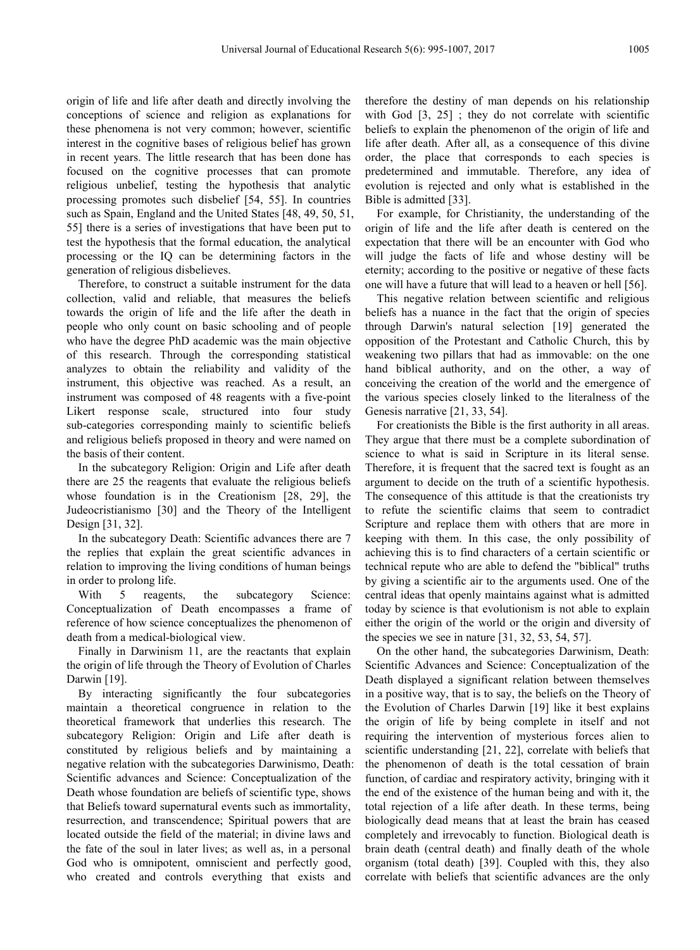origin of life and life after death and directly involving the conceptions of science and religion as explanations for these phenomena is not very common; however, scientific interest in the cognitive bases of religious belief has grown in recent years. The little research that has been done has focused on the cognitive processes that can promote religious unbelief, testing the hypothesis that analytic processing promotes such disbelief [54, 55]. In countries such as Spain, England and the United States [48, 49, 50, 51, 55] there is a series of investigations that have been put to test the hypothesis that the formal education, the analytical processing or the IQ can be determining factors in the generation of religious disbelieves.

Therefore, to construct a suitable instrument for the data collection, valid and reliable, that measures the beliefs towards the origin of life and the life after the death in people who only count on basic schooling and of people who have the degree PhD academic was the main objective of this research. Through the corresponding statistical analyzes to obtain the reliability and validity of the instrument, this objective was reached. As a result, an instrument was composed of 48 reagents with a five-point Likert response scale, structured into four study sub-categories corresponding mainly to scientific beliefs and religious beliefs proposed in theory and were named on the basis of their content.

In the subcategory Religion: Origin and Life after death there are 25 the reagents that evaluate the religious beliefs whose foundation is in the Creationism [28, 29], the Judeocristianismo [30] and the Theory of the Intelligent Design [31, 32].

In the subcategory Death: Scientific advances there are 7 the replies that explain the great scientific advances in relation to improving the living conditions of human beings in order to prolong life.

With 5 reagents, the subcategory Science: Conceptualization of Death encompasses a frame of reference of how science conceptualizes the phenomenon of death from a medical-biological view.

Finally in Darwinism 11, are the reactants that explain the origin of life through the Theory of Evolution of Charles Darwin [19].

By interacting significantly the four subcategories maintain a theoretical congruence in relation to the theoretical framework that underlies this research. The subcategory Religion: Origin and Life after death is constituted by religious beliefs and by maintaining a negative relation with the subcategories Darwinismo, Death: Scientific advances and Science: Conceptualization of the Death whose foundation are beliefs of scientific type, shows that Beliefs toward supernatural events such as immortality, resurrection, and transcendence; Spiritual powers that are located outside the field of the material; in divine laws and the fate of the soul in later lives; as well as, in a personal God who is omnipotent, omniscient and perfectly good, who created and controls everything that exists and

therefore the destiny of man depends on his relationship with God [3, 25]; they do not correlate with scientific beliefs to explain the phenomenon of the origin of life and life after death. After all, as a consequence of this divine order, the place that corresponds to each species is predetermined and immutable. Therefore, any idea of evolution is rejected and only what is established in the Bible is admitted [33].

For example, for Christianity, the understanding of the origin of life and the life after death is centered on the expectation that there will be an encounter with God who will judge the facts of life and whose destiny will be eternity; according to the positive or negative of these facts one will have a future that will lead to a heaven or hell [56].

This negative relation between scientific and religious beliefs has a nuance in the fact that the origin of species through Darwin's natural selection [19] generated the opposition of the Protestant and Catholic Church, this by weakening two pillars that had as immovable: on the one hand biblical authority, and on the other, a way of conceiving the creation of the world and the emergence of the various species closely linked to the literalness of the Genesis narrative [21, 33, 54].

For creationists the Bible is the first authority in all areas. They argue that there must be a complete subordination of science to what is said in Scripture in its literal sense. Therefore, it is frequent that the sacred text is fought as an argument to decide on the truth of a scientific hypothesis. The consequence of this attitude is that the creationists try to refute the scientific claims that seem to contradict Scripture and replace them with others that are more in keeping with them. In this case, the only possibility of achieving this is to find characters of a certain scientific or technical repute who are able to defend the "biblical" truths by giving a scientific air to the arguments used. One of the central ideas that openly maintains against what is admitted today by science is that evolutionism is not able to explain either the origin of the world or the origin and diversity of the species we see in nature [31, 32, 53, 54, 57].

On the other hand, the subcategories Darwinism, Death: Scientific Advances and Science: Conceptualization of the Death displayed a significant relation between themselves in a positive way, that is to say, the beliefs on the Theory of the Evolution of Charles Darwin [19] like it best explains the origin of life by being complete in itself and not requiring the intervention of mysterious forces alien to scientific understanding [21, 22], correlate with beliefs that the phenomenon of death is the total cessation of brain function, of cardiac and respiratory activity, bringing with it the end of the existence of the human being and with it, the total rejection of a life after death. In these terms, being biologically dead means that at least the brain has ceased completely and irrevocably to function. Biological death is brain death (central death) and finally death of the whole organism (total death) [39]. Coupled with this, they also correlate with beliefs that scientific advances are the only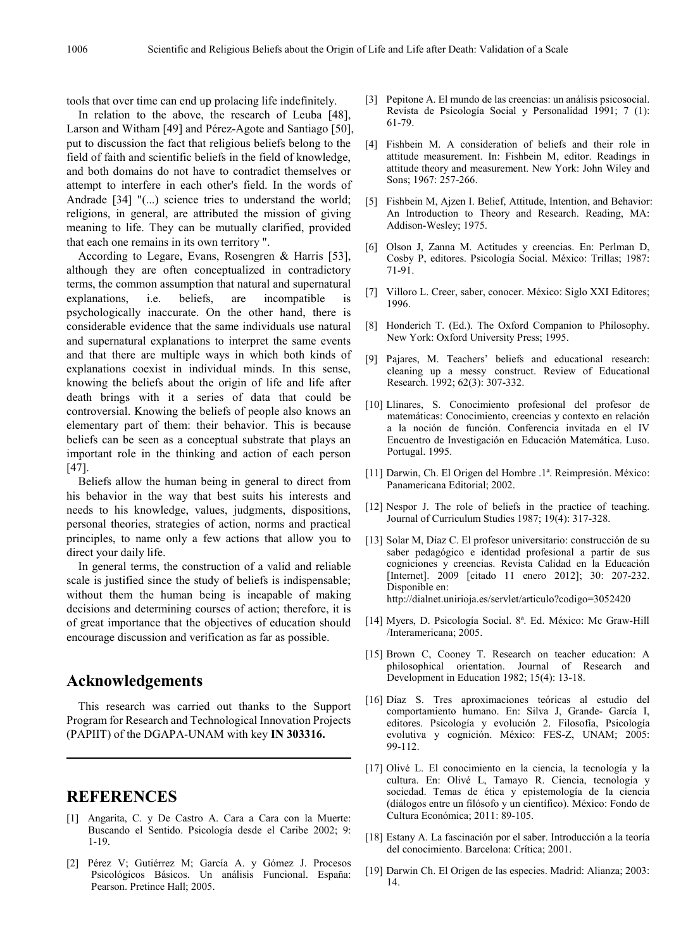tools that over time can end up prolacing life indefinitely.

In relation to the above, the research of Leuba [48], Larson and Witham [49] and Pérez-Agote and Santiago [50], put to discussion the fact that religious beliefs belong to the field of faith and scientific beliefs in the field of knowledge, and both domains do not have to contradict themselves or attempt to interfere in each other's field. In the words of Andrade [34] "(...) science tries to understand the world; religions, in general, are attributed the mission of giving meaning to life. They can be mutually clarified, provided that each one remains in its own territory ".

According to Legare, Evans, Rosengren & Harris [53], although they are often conceptualized in contradictory terms, the common assumption that natural and supernatural explanations, i.e. beliefs, are incompatible is psychologically inaccurate. On the other hand, there is considerable evidence that the same individuals use natural and supernatural explanations to interpret the same events and that there are multiple ways in which both kinds of explanations coexist in individual minds. In this sense, knowing the beliefs about the origin of life and life after death brings with it a series of data that could be controversial. Knowing the beliefs of people also knows an elementary part of them: their behavior. This is because beliefs can be seen as a conceptual substrate that plays an important role in the thinking and action of each person [47].

Beliefs allow the human being in general to direct from his behavior in the way that best suits his interests and needs to his knowledge, values, judgments, dispositions, personal theories, strategies of action, norms and practical principles, to name only a few actions that allow you to direct your daily life.

In general terms, the construction of a valid and reliable scale is justified since the study of beliefs is indispensable; without them the human being is incapable of making decisions and determining courses of action; therefore, it is of great importance that the objectives of education should encourage discussion and verification as far as possible.

### **Acknowledgements**

This research was carried out thanks to the Support Program for Research and Technological Innovation Projects (PAPIIT) of the DGAPA-UNAM with key **IN 303316.**

## **REFERENCES**

- [1] Angarita, C. y De Castro A. Cara a Cara con la Muerte: Buscando el Sentido. Psicología desde el Caribe 2002; 9: 1-19.
- [2] Pérez V; Gutiérrez M; García A. y Gómez J. Procesos Psicológicos Básicos. Un análisis Funcional. España: Pearson. Pretince Hall; 2005.
- [3] Pepitone A. El mundo de las creencias: un análisis psicosocial. Revista de Psicología Social y Personalidad 1991; 7 (1): 61-79.
- [4] Fishbein M. A consideration of beliefs and their role in attitude measurement. In: Fishbein M, editor. Readings in attitude theory and measurement. New York: John Wiley and Sons; 1967: 257-266.
- [5] Fishbein M, Ajzen I. Belief, Attitude, Intention, and Behavior: An Introduction to Theory and Research. Reading, MA: Addison-Wesley; 1975.
- [6] Olson J, Zanna M. Actitudes y creencias. En: Perlman D, Cosby P, editores. Psicología Social. México: Trillas; 1987: 71-91.
- [7] Villoro L. Creer, saber, conocer. México: Siglo XXI Editores; 1996.
- [8] Honderich T. (Ed.). The Oxford Companion to Philosophy. New York: Oxford University Press; 1995.
- [9] Pajares, M. Teachers' beliefs and educational research: cleaning up a messy construct. Review of Educational Research. 1992; 62(3): 307-332.
- [10] Llinares, S. Conocimiento profesional del profesor de matemáticas: Conocimiento, creencias y contexto en relación a la noción de función. Conferencia invitada en el IV Encuentro de Investigación en Educación Matemática. Luso. Portugal. 1995.
- [11] Darwin, Ch. El Origen del Hombre .1ª. Reimpresión. México: Panamericana Editorial; 2002.
- [12] Nespor J. The role of beliefs in the practice of teaching. Journal of Curriculum Studies 1987; 19(4): 317-328.
- [13] Solar M, Díaz C. El profesor universitario: construcción de su saber pedagógico e identidad profesional a partir de sus cogniciones y creencias. Revista Calidad en la Educación [Internet]. 2009 [citado 11 enero 2012]; 30: 207-232. Disponible en: http://dialnet.unirioja.es/servlet/articulo?codigo=3052420
- [14] Myers, D. Psicología Social. 8ª. Ed. México: Mc Graw-Hill /Interamericana; 2005.
- [15] Brown C, Cooney T. Research on teacher education: A philosophical orientation. Journal of Research and Development in Education 1982; 15(4): 13-18.
- [16] Díaz S. Tres aproximaciones teóricas al estudio del comportamiento humano. En: Silva J, Grande- García I, editores. Psicología y evolución 2. Filosofía, Psicología evolutiva y cognición. México: FES-Z, UNAM; 2005: 99-112.
- [17] Olivé L. El conocimiento en la ciencia, la tecnología y la cultura. En: Olivé L, Tamayo R. Ciencia, tecnología y sociedad. Temas de ética y epistemología de la ciencia (diálogos entre un filósofo y un científico). México: Fondo de Cultura Económica; 2011: 89-105.
- [18] Estany A. La fascinación por el saber. Introducción a la teoría del conocimiento. Barcelona: Crítica; 2001.
- [19] Darwin Ch. El Origen de las especies. Madrid: Alianza; 2003: 14.